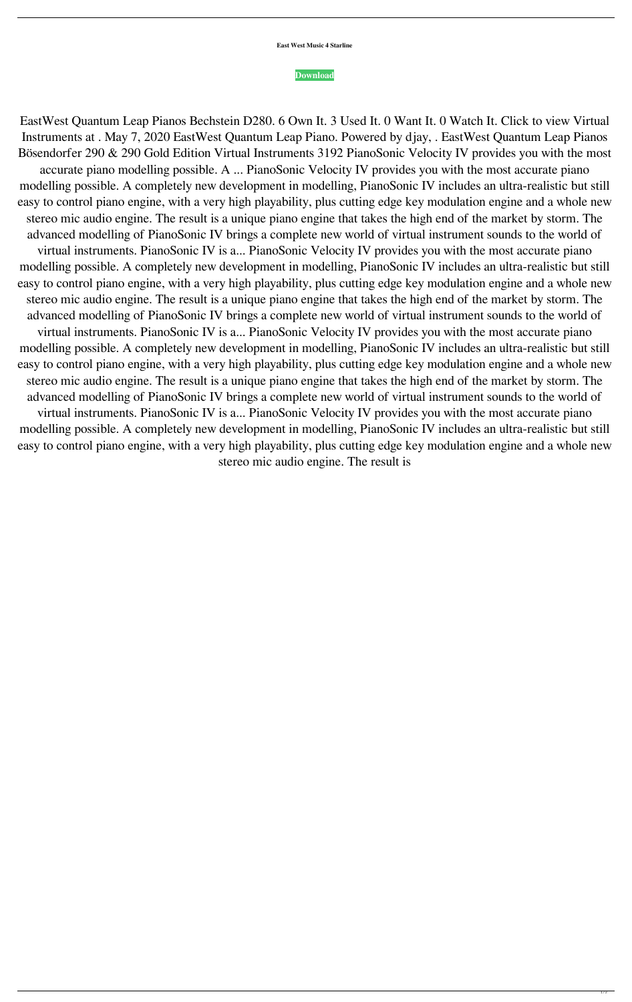**East West Music 4 Starline**

## **[Download](http://evacdir.com/ZWFzdCB3ZXN0IHF1YW50dW0gbGVhcCBwaWFubyBib3NlbmRvcmZlciB0b3JyZW50ZWF/eicosanoids/ZG93bmxvYWR8TTVIWm5jeU1ueDhNVFkxTlRnME1qazRNWHg4TWpVNU1IeDhLRTBwSUZkdmNtUndjbVZ6Y3lCYldFMU1VbEJESUZZeUlGQkVSbDA.minivan?cadre=decennial&resorption)**

EastWest Quantum Leap Pianos Bechstein D280. 6 Own It. 3 Used It. 0 Want It. 0 Watch It. Click to view Virtual Instruments at . May 7, 2020 EastWest Quantum Leap Piano. Powered by djay, . EastWest Quantum Leap Pianos Bösendorfer 290 & 290 Gold Edition Virtual Instruments 3192 PianoSonic Velocity IV provides you with the most accurate piano modelling possible. A ... PianoSonic Velocity IV provides you with the most accurate piano modelling possible. A completely new development in modelling, PianoSonic IV includes an ultra-realistic but still easy to control piano engine, with a very high playability, plus cutting edge key modulation engine and a whole new stereo mic audio engine. The result is a unique piano engine that takes the high end of the market by storm. The advanced modelling of PianoSonic IV brings a complete new world of virtual instrument sounds to the world of virtual instruments. PianoSonic IV is a... PianoSonic Velocity IV provides you with the most accurate piano modelling possible. A completely new development in modelling, PianoSonic IV includes an ultra-realistic but still easy to control piano engine, with a very high playability, plus cutting edge key modulation engine and a whole new stereo mic audio engine. The result is a unique piano engine that takes the high end of the market by storm. The advanced modelling of PianoSonic IV brings a complete new world of virtual instrument sounds to the world of virtual instruments. PianoSonic IV is a... PianoSonic Velocity IV provides you with the most accurate piano modelling possible. A completely new development in modelling, PianoSonic IV includes an ultra-realistic but still easy to control piano engine, with a very high playability, plus cutting edge key modulation engine and a whole new stereo mic audio engine. The result is a unique piano engine that takes the high end of the market by storm. The advanced modelling of PianoSonic IV brings a complete new world of virtual instrument sounds to the world of virtual instruments. PianoSonic IV is a... PianoSonic Velocity IV provides you with the most accurate piano modelling possible. A completely new development in modelling, PianoSonic IV includes an ultra-realistic but still easy to control piano engine, with a very high playability, plus cutting edge key modulation engine and a whole new stereo mic audio engine. The result is